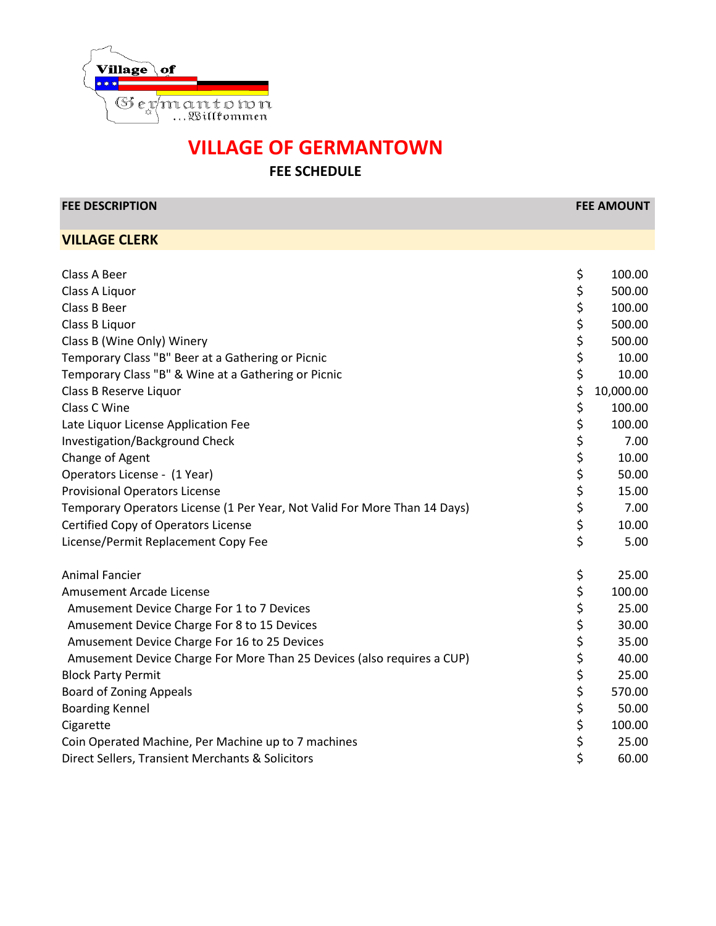

**FEE SCHEDULE**

**FEE DESCRIPTION FEE AMOUNT**

**VILLAGE CLERK**

| Class A Beer                                                              | \$<br>100.00    |
|---------------------------------------------------------------------------|-----------------|
| Class A Liquor                                                            | \$<br>500.00    |
| Class B Beer                                                              | \$<br>100.00    |
| Class B Liquor                                                            | \$<br>500.00    |
| Class B (Wine Only) Winery                                                | \$<br>500.00    |
| Temporary Class "B" Beer at a Gathering or Picnic                         | \$<br>10.00     |
| Temporary Class "B" & Wine at a Gathering or Picnic                       | \$<br>10.00     |
| Class B Reserve Liquor                                                    | \$<br>10,000.00 |
| Class C Wine                                                              | \$<br>100.00    |
| Late Liquor License Application Fee                                       | \$<br>100.00    |
| Investigation/Background Check                                            | \$<br>7.00      |
| Change of Agent                                                           | \$<br>10.00     |
| Operators License - (1 Year)                                              | \$<br>50.00     |
| <b>Provisional Operators License</b>                                      | \$<br>15.00     |
| Temporary Operators License (1 Per Year, Not Valid For More Than 14 Days) | \$<br>7.00      |
| Certified Copy of Operators License                                       | \$<br>10.00     |
| License/Permit Replacement Copy Fee                                       | \$<br>5.00      |
| <b>Animal Fancier</b>                                                     | \$<br>25.00     |
| Amusement Arcade License                                                  | \$<br>100.00    |
| Amusement Device Charge For 1 to 7 Devices                                | \$<br>25.00     |
| Amusement Device Charge For 8 to 15 Devices                               | \$<br>30.00     |
| Amusement Device Charge For 16 to 25 Devices                              | \$<br>35.00     |
| Amusement Device Charge For More Than 25 Devices (also requires a CUP)    | \$<br>40.00     |
| <b>Block Party Permit</b>                                                 | \$<br>25.00     |
| <b>Board of Zoning Appeals</b>                                            | \$<br>570.00    |
| <b>Boarding Kennel</b>                                                    | \$<br>50.00     |
| Cigarette                                                                 | \$<br>100.00    |
| Coin Operated Machine, Per Machine up to 7 machines                       | \$<br>25.00     |
| Direct Sellers, Transient Merchants & Solicitors                          | \$<br>60.00     |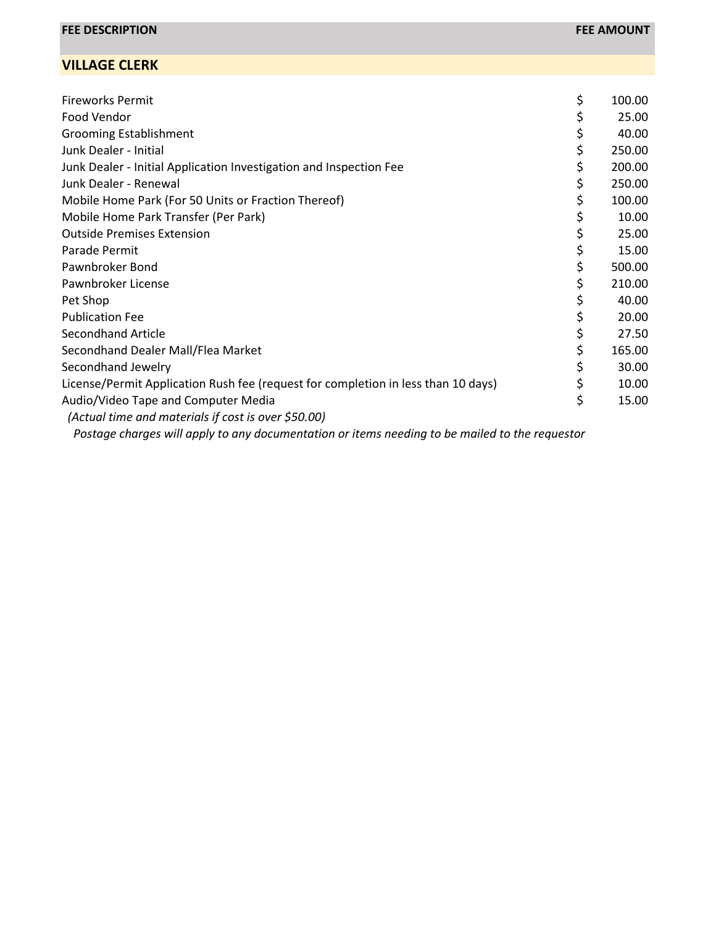| <b>Fireworks Permit</b>                                                           | \$<br>100.00 |
|-----------------------------------------------------------------------------------|--------------|
| Food Vendor                                                                       | 25.00        |
| <b>Grooming Establishment</b>                                                     | 40.00        |
| Junk Dealer - Initial                                                             | \$<br>250.00 |
| Junk Dealer - Initial Application Investigation and Inspection Fee                | \$<br>200.00 |
| Junk Dealer - Renewal                                                             | \$<br>250.00 |
| Mobile Home Park (For 50 Units or Fraction Thereof)                               | 100.00       |
| Mobile Home Park Transfer (Per Park)                                              | 10.00        |
| <b>Outside Premises Extension</b>                                                 | 25.00        |
| Parade Permit                                                                     | 15.00        |
| Pawnbroker Bond                                                                   | \$<br>500.00 |
| Pawnbroker License                                                                | 210.00       |
| Pet Shop                                                                          | 40.00        |
| <b>Publication Fee</b>                                                            | 20.00        |
| <b>Secondhand Article</b>                                                         | 27.50        |
| Secondhand Dealer Mall/Flea Market                                                | 165.00       |
| Secondhand Jewelry                                                                | 30.00        |
| License/Permit Application Rush fee (request for completion in less than 10 days) | \$<br>10.00  |
| Audio/Video Tape and Computer Media                                               | \$<br>15.00  |
| (Actual time and materials if cost is over \$50.00)                               |              |
|                                                                                   |              |

 *Postage charges will apply to any documentation or items needing to be mailed to the requestor*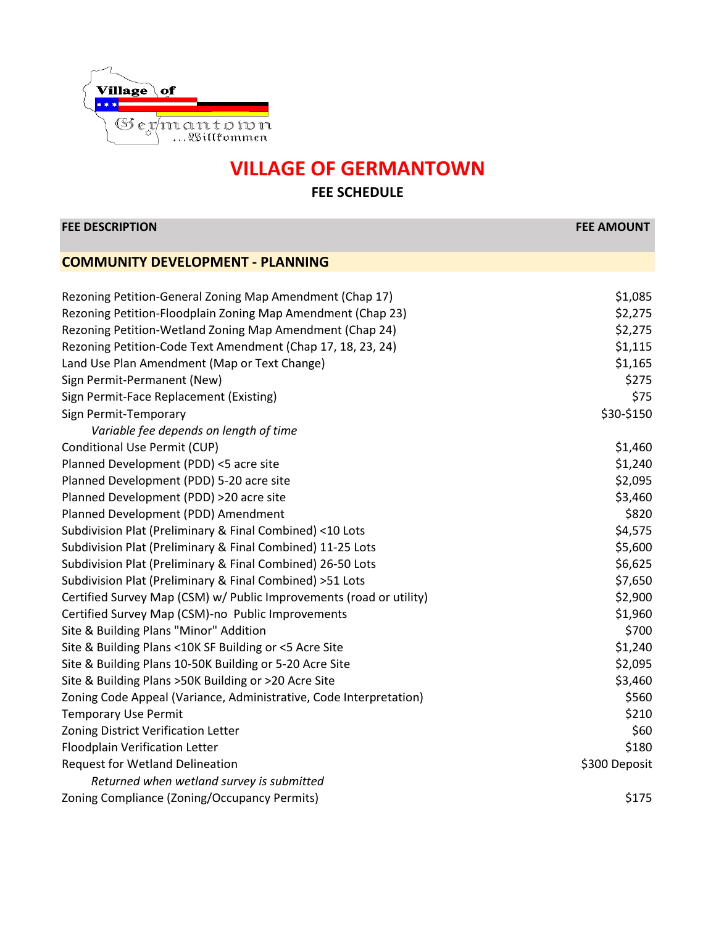

| <b>FEE DESCRIPTION</b>                                              | <b>FEE AMOUNT</b> |
|---------------------------------------------------------------------|-------------------|
| <b>COMMUNITY DEVELOPMENT - PLANNING</b>                             |                   |
|                                                                     |                   |
| Rezoning Petition-General Zoning Map Amendment (Chap 17)            | \$1,085           |
| Rezoning Petition-Floodplain Zoning Map Amendment (Chap 23)         | \$2,275           |
| Rezoning Petition-Wetland Zoning Map Amendment (Chap 24)            | \$2,275           |
| Rezoning Petition-Code Text Amendment (Chap 17, 18, 23, 24)         | \$1,115           |
| Land Use Plan Amendment (Map or Text Change)                        | \$1,165           |
| Sign Permit-Permanent (New)                                         | \$275             |
| Sign Permit-Face Replacement (Existing)                             | \$75              |
| Sign Permit-Temporary                                               | \$30-\$150        |
| Variable fee depends on length of time                              |                   |
| Conditional Use Permit (CUP)                                        | \$1,460           |
| Planned Development (PDD) <5 acre site                              | \$1,240           |
| Planned Development (PDD) 5-20 acre site                            | \$2,095           |
| Planned Development (PDD) >20 acre site                             | \$3,460           |
| Planned Development (PDD) Amendment                                 | \$820             |
| Subdivision Plat (Preliminary & Final Combined) <10 Lots            | \$4,575           |
| Subdivision Plat (Preliminary & Final Combined) 11-25 Lots          | \$5,600           |
| Subdivision Plat (Preliminary & Final Combined) 26-50 Lots          | \$6,625           |
| Subdivision Plat (Preliminary & Final Combined) >51 Lots            | \$7,650           |
| Certified Survey Map (CSM) w/ Public Improvements (road or utility) | \$2,900           |
| Certified Survey Map (CSM)-no Public Improvements                   | \$1,960           |
| Site & Building Plans "Minor" Addition                              | \$700             |
| Site & Building Plans <10K SF Building or <5 Acre Site              | \$1,240           |
| Site & Building Plans 10-50K Building or 5-20 Acre Site             | \$2,095           |
| Site & Building Plans > 50K Building or > 20 Acre Site              | \$3,460           |
| Zoning Code Appeal (Variance, Administrative, Code Interpretation)  | \$560             |
| <b>Temporary Use Permit</b>                                         | \$210             |
| Zoning District Verification Letter                                 | \$60              |
| Floodplain Verification Letter                                      | \$180             |
| <b>Request for Wetland Delineation</b>                              | \$300 Deposit     |
| Returned when wetland survey is submitted                           |                   |
| Zoning Compliance (Zoning/Occupancy Permits)                        | \$175             |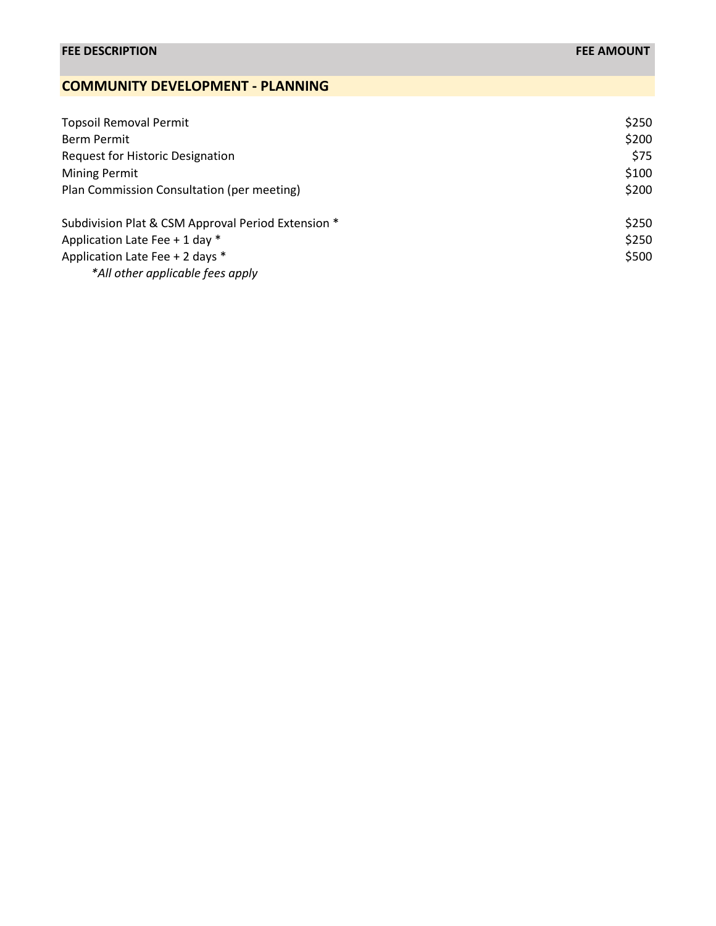## **COMMUNITY DEVELOPMENT - PLANNING**

| <b>Topsoil Removal Permit</b>                      | \$250 |
|----------------------------------------------------|-------|
| Berm Permit                                        | \$200 |
| <b>Request for Historic Designation</b>            | \$75  |
| <b>Mining Permit</b>                               | \$100 |
| Plan Commission Consultation (per meeting)         | \$200 |
| Subdivision Plat & CSM Approval Period Extension * | \$250 |
| Application Late Fee + 1 day *                     | \$250 |
| Application Late Fee + 2 days *                    | \$500 |
| *All other applicable fees apply                   |       |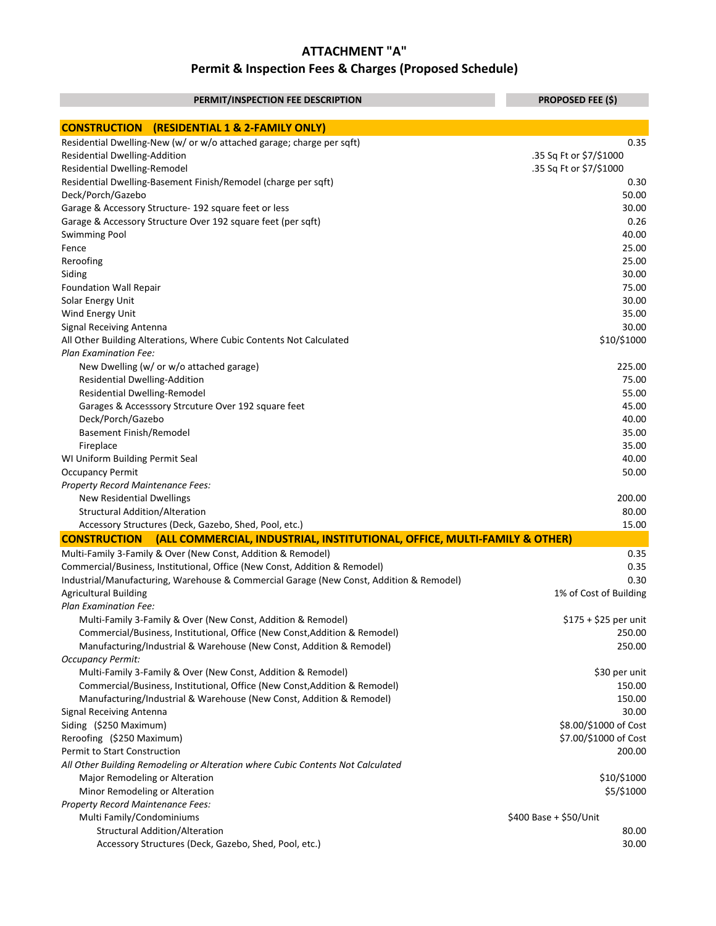| PERMIT/INSPECTION FEE DESCRIPTION                                                                | <b>PROPOSED FEE (\$)</b> |
|--------------------------------------------------------------------------------------------------|--------------------------|
| <b>CONSTRUCTION</b><br>(RESIDENTIAL 1 & 2-FAMILY ONLY)                                           |                          |
| Residential Dwelling-New (w/ or w/o attached garage; charge per sqft)                            | 0.35                     |
| Residential Dwelling-Addition                                                                    | .35 Sq Ft or \$7/\$1000  |
| Residential Dwelling-Remodel                                                                     | .35 Sq Ft or \$7/\$1000  |
| Residential Dwelling-Basement Finish/Remodel (charge per sqft)                                   | 0.30                     |
| Deck/Porch/Gazebo                                                                                | 50.00                    |
| Garage & Accessory Structure- 192 square feet or less                                            | 30.00                    |
| Garage & Accessory Structure Over 192 square feet (per sqft)                                     | 0.26                     |
| <b>Swimming Pool</b>                                                                             | 40.00                    |
| Fence                                                                                            | 25.00                    |
| Reroofing                                                                                        | 25.00                    |
| Siding                                                                                           | 30.00                    |
| <b>Foundation Wall Repair</b>                                                                    | 75.00                    |
| Solar Energy Unit                                                                                | 30.00                    |
| Wind Energy Unit                                                                                 | 35.00                    |
| Signal Receiving Antenna                                                                         | 30.00                    |
| All Other Building Alterations, Where Cubic Contents Not Calculated                              | \$10/\$1000              |
| <b>Plan Examination Fee:</b>                                                                     |                          |
| New Dwelling (w/ or w/o attached garage)                                                         | 225.00                   |
| Residential Dwelling-Addition                                                                    | 75.00                    |
| Residential Dwelling-Remodel                                                                     | 55.00                    |
| Garages & Accesssory Strcuture Over 192 square feet                                              | 45.00                    |
| Deck/Porch/Gazebo                                                                                | 40.00                    |
| <b>Basement Finish/Remodel</b>                                                                   | 35.00                    |
| Fireplace                                                                                        | 35.00                    |
| WI Uniform Building Permit Seal                                                                  | 40.00                    |
| <b>Occupancy Permit</b>                                                                          | 50.00                    |
| Property Record Maintenance Fees:                                                                |                          |
| <b>New Residential Dwellings</b>                                                                 | 200.00                   |
| <b>Structural Addition/Alteration</b>                                                            | 80.00                    |
| Accessory Structures (Deck, Gazebo, Shed, Pool, etc.)                                            | 15.00                    |
| <b>CONSTRUCTION</b><br>(ALL COMMERCIAL, INDUSTRIAL, INSTITUTIONAL, OFFICE, MULTI-FAMILY & OTHER) |                          |
| Multi-Family 3-Family & Over (New Const, Addition & Remodel)                                     | 0.35                     |
| Commercial/Business, Institutional, Office (New Const, Addition & Remodel)                       | 0.35                     |
| Industrial/Manufacturing, Warehouse & Commercial Garage (New Const, Addition & Remodel)          | 0.30                     |
| <b>Agricultural Building</b>                                                                     | 1% of Cost of Building   |
| <b>Plan Examination Fee:</b>                                                                     |                          |
| Multi-Family 3-Family & Over (New Const, Addition & Remodel)                                     | \$175 + \$25 per unit    |
| Commercial/Business, Institutional, Office (New Const, Addition & Remodel)                       | 250.00                   |
| Manufacturing/Industrial & Warehouse (New Const, Addition & Remodel)                             | 250.00                   |
| <b>Occupancy Permit:</b>                                                                         |                          |
| Multi-Family 3-Family & Over (New Const, Addition & Remodel)                                     | \$30 per unit            |
| Commercial/Business, Institutional, Office (New Const, Addition & Remodel)                       | 150.00                   |
| Manufacturing/Industrial & Warehouse (New Const, Addition & Remodel)                             | 150.00                   |
| <b>Signal Receiving Antenna</b>                                                                  | 30.00                    |
| Siding (\$250 Maximum)                                                                           | \$8.00/\$1000 of Cost    |
| Reroofing (\$250 Maximum)                                                                        | \$7.00/\$1000 of Cost    |
| Permit to Start Construction                                                                     | 200.00                   |
| All Other Building Remodeling or Alteration where Cubic Contents Not Calculated                  |                          |
| Major Remodeling or Alteration                                                                   | \$10/\$1000              |
| Minor Remodeling or Alteration                                                                   | \$5/\$1000               |
| Property Record Maintenance Fees:                                                                |                          |
| Multi Family/Condominiums                                                                        | \$400 Base + \$50/Unit   |
| <b>Structural Addition/Alteration</b>                                                            | 80.00                    |
| Accessory Structures (Deck, Gazebo, Shed, Pool, etc.)                                            | 30.00                    |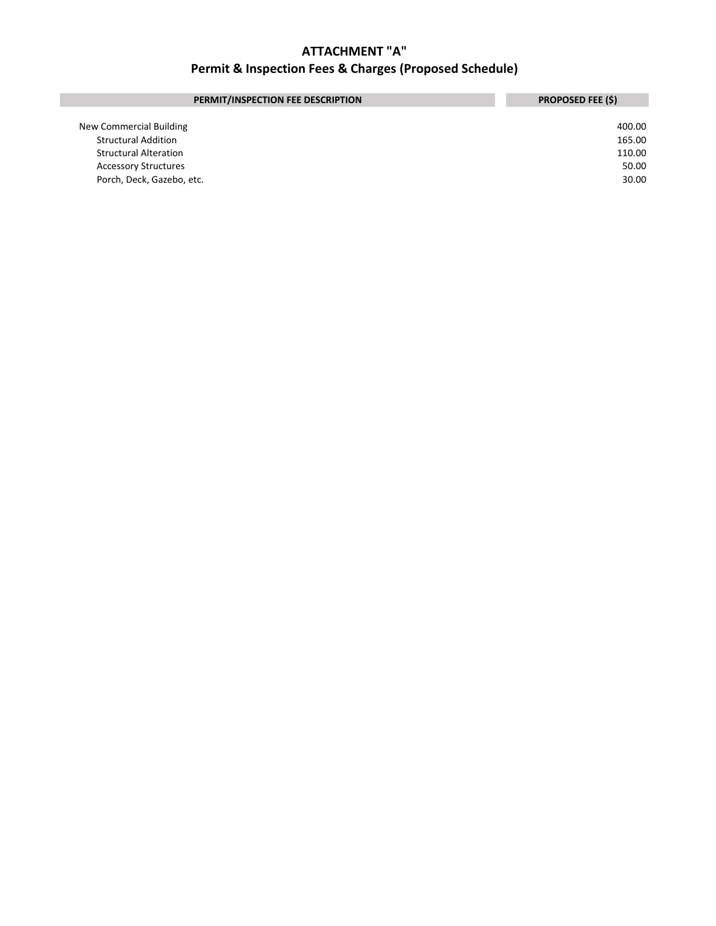| PERMIT/INSPECTION FEE DESCRIPTION | <b>PROPOSED FEE (\$)</b> |
|-----------------------------------|--------------------------|
|                                   |                          |
| New Commercial Building           | 400.00                   |
| <b>Structural Addition</b>        | 165.00                   |
| <b>Structural Alteration</b>      | 110.00                   |
| <b>Accessory Structures</b>       | 50.00                    |
| Porch, Deck, Gazebo, etc.         | 30.00                    |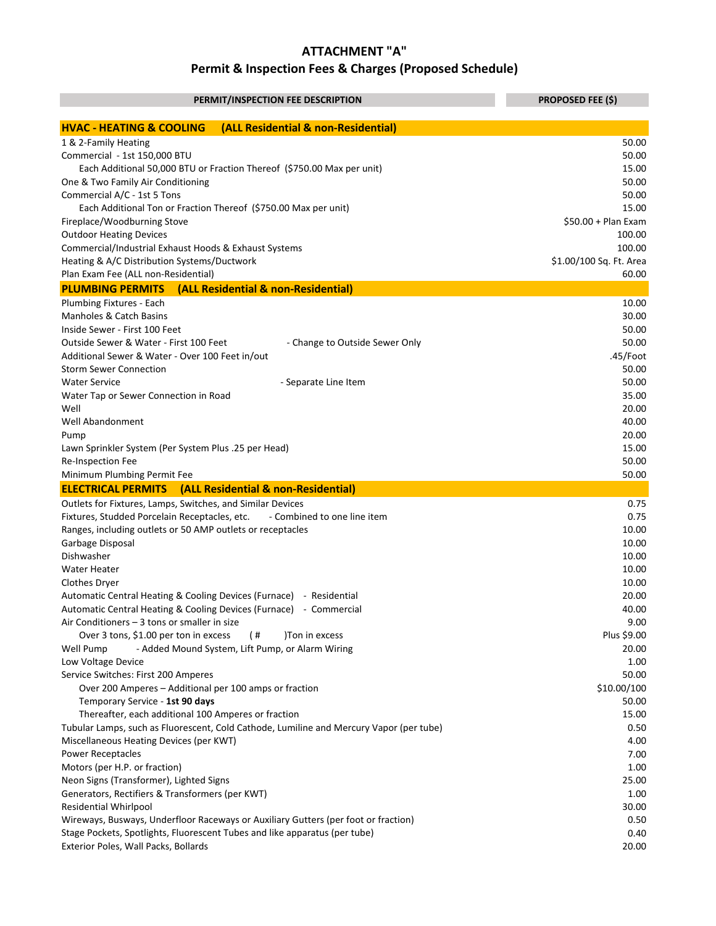| PERMIT/INSPECTION FEE DESCRIPTION                                                       | <b>PROPOSED FEE (\$)</b> |
|-----------------------------------------------------------------------------------------|--------------------------|
| (ALL Residential & non-Residential)<br><b>HVAC - HEATING &amp; COOLING</b>              |                          |
| 1 & 2-Family Heating                                                                    | 50.00                    |
| Commercial - 1st 150,000 BTU                                                            | 50.00                    |
| Each Additional 50,000 BTU or Fraction Thereof (\$750.00 Max per unit)                  | 15.00                    |
| One & Two Family Air Conditioning                                                       | 50.00                    |
| Commercial A/C - 1st 5 Tons                                                             | 50.00                    |
| Each Additional Ton or Fraction Thereof (\$750.00 Max per unit)                         | 15.00                    |
| Fireplace/Woodburning Stove                                                             | $$50.00 + Plan Exam$     |
| <b>Outdoor Heating Devices</b>                                                          | 100.00                   |
| Commercial/Industrial Exhaust Hoods & Exhaust Systems                                   | 100.00                   |
| Heating & A/C Distribution Systems/Ductwork                                             | \$1.00/100 Sq. Ft. Area  |
| Plan Exam Fee (ALL non-Residential)                                                     | 60.00                    |
| (ALL Residential & non-Residential)<br><b>PLUMBING PERMITS</b>                          |                          |
| Plumbing Fixtures - Each                                                                | 10.00                    |
| Manholes & Catch Basins                                                                 | 30.00                    |
| Inside Sewer - First 100 Feet                                                           | 50.00                    |
| Outside Sewer & Water - First 100 Feet<br>- Change to Outside Sewer Only                | 50.00                    |
| Additional Sewer & Water - Over 100 Feet in/out                                         | .45/Foot                 |
| <b>Storm Sewer Connection</b>                                                           | 50.00                    |
| <b>Water Service</b><br>- Separate Line Item                                            | 50.00                    |
| Water Tap or Sewer Connection in Road                                                   | 35.00                    |
| Well                                                                                    | 20.00                    |
| Well Abandonment                                                                        | 40.00                    |
| Pump                                                                                    | 20.00<br>15.00           |
| Lawn Sprinkler System (Per System Plus .25 per Head)                                    | 50.00                    |
| Re-Inspection Fee<br>Minimum Plumbing Permit Fee                                        | 50.00                    |
| (ALL Residential & non-Residential)<br><b>ELECTRICAL PERMITS</b>                        |                          |
| Outlets for Fixtures, Lamps, Switches, and Similar Devices                              | 0.75                     |
| Fixtures, Studded Porcelain Receptacles, etc.<br>- Combined to one line item            | 0.75                     |
| Ranges, including outlets or 50 AMP outlets or receptacles                              | 10.00                    |
| Garbage Disposal                                                                        | 10.00                    |
| Dishwasher                                                                              | 10.00                    |
| <b>Water Heater</b>                                                                     | 10.00                    |
| Clothes Dryer                                                                           | 10.00                    |
| Automatic Central Heating & Cooling Devices (Furnace) - Residential                     | 20.00                    |
| Automatic Central Heating & Cooling Devices (Furnace) - Commercial                      | 40.00                    |
| Air Conditioners - 3 tons or smaller in size                                            | 9.00                     |
| Over 3 tons, \$1.00 per ton in excess<br>$($ #<br>)Ton in excess                        | Plus \$9.00              |
| - Added Mound System, Lift Pump, or Alarm Wiring<br>Well Pump                           | 20.00                    |
| Low Voltage Device                                                                      | 1.00                     |
| Service Switches: First 200 Amperes                                                     | 50.00                    |
| Over 200 Amperes - Additional per 100 amps or fraction                                  | \$10.00/100              |
| Temporary Service - 1st 90 days                                                         | 50.00                    |
| Thereafter, each additional 100 Amperes or fraction                                     | 15.00                    |
| Tubular Lamps, such as Fluorescent, Cold Cathode, Lumiline and Mercury Vapor (per tube) | 0.50                     |
| Miscellaneous Heating Devices (per KWT)                                                 | 4.00                     |
| <b>Power Receptacles</b>                                                                | 7.00                     |
| Motors (per H.P. or fraction)                                                           | 1.00                     |
| Neon Signs (Transformer), Lighted Signs                                                 | 25.00                    |
| Generators, Rectifiers & Transformers (per KWT)                                         | 1.00                     |
| <b>Residential Whirlpool</b>                                                            | 30.00                    |
| Wireways, Busways, Underfloor Raceways or Auxiliary Gutters (per foot or fraction)      | 0.50                     |
| Stage Pockets, Spotlights, Fluorescent Tubes and like apparatus (per tube)              | 0.40                     |
| Exterior Poles, Wall Packs, Bollards                                                    | 20.00                    |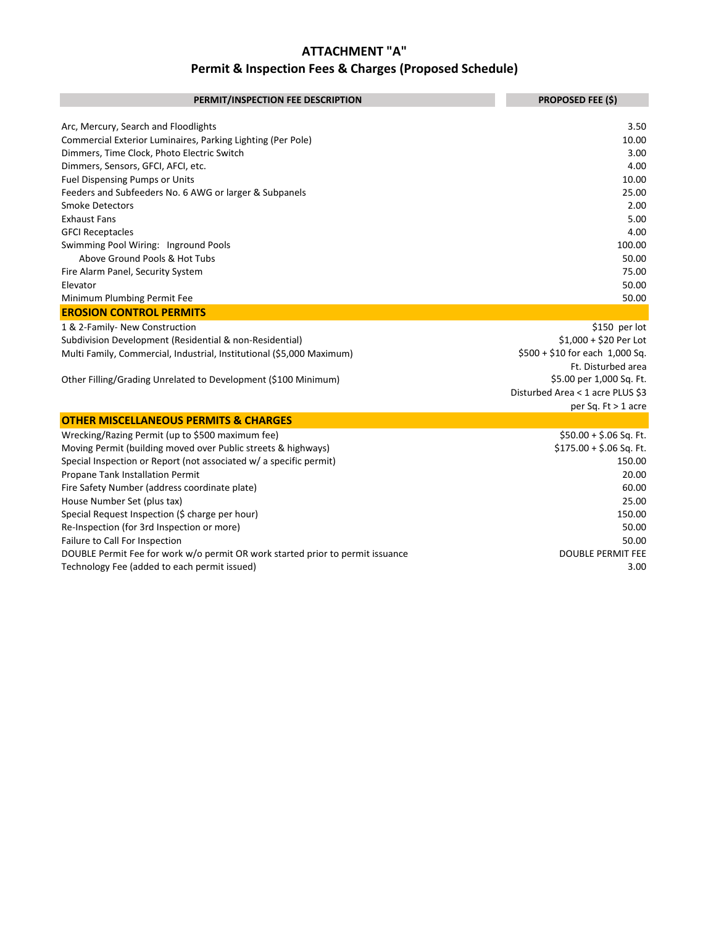| PERMIT/INSPECTION FEE DESCRIPTION                                              | <b>PROPOSED FEE (\$)</b>         |
|--------------------------------------------------------------------------------|----------------------------------|
| Arc, Mercury, Search and Floodlights                                           | 3.50                             |
| Commercial Exterior Luminaires, Parking Lighting (Per Pole)                    | 10.00                            |
| Dimmers, Time Clock, Photo Electric Switch                                     | 3.00                             |
| Dimmers, Sensors, GFCI, AFCI, etc.                                             | 4.00                             |
| <b>Fuel Dispensing Pumps or Units</b>                                          | 10.00                            |
| Feeders and Subfeeders No. 6 AWG or larger & Subpanels                         | 25.00                            |
| <b>Smoke Detectors</b>                                                         | 2.00                             |
| <b>Exhaust Fans</b>                                                            | 5.00                             |
| <b>GFCI Receptacles</b>                                                        | 4.00                             |
| Swimming Pool Wiring: Inground Pools                                           | 100.00                           |
| Above Ground Pools & Hot Tubs                                                  | 50.00                            |
| Fire Alarm Panel, Security System                                              | 75.00                            |
| Elevator                                                                       | 50.00                            |
| Minimum Plumbing Permit Fee                                                    | 50.00                            |
| <b>EROSION CONTROL PERMITS</b>                                                 |                                  |
| 1 & 2-Family- New Construction                                                 | \$150 per lot                    |
| Subdivision Development (Residential & non-Residential)                        | $$1,000 + $20$ Per Lot           |
| Multi Family, Commercial, Industrial, Institutional (\$5,000 Maximum)          | $$500 + $10$ for each 1,000 Sq.  |
|                                                                                | Ft. Disturbed area               |
| Other Filling/Grading Unrelated to Development (\$100 Minimum)                 | \$5.00 per 1,000 Sq. Ft.         |
|                                                                                | Disturbed Area < 1 acre PLUS \$3 |
|                                                                                | per Sq. $Ft > 1$ acre            |
| <b>OTHER MISCELLANEOUS PERMITS &amp; CHARGES</b>                               |                                  |
| Wrecking/Razing Permit (up to \$500 maximum fee)                               | \$50.00 + \$.06 Sq. Ft.          |
| Moving Permit (building moved over Public streets & highways)                  | $$175.00 + $.06$ Sq. Ft.         |
| Special Inspection or Report (not associated w/ a specific permit)             | 150.00                           |
| Propane Tank Installation Permit                                               | 20.00                            |
| Fire Safety Number (address coordinate plate)                                  | 60.00                            |
| House Number Set (plus tax)                                                    | 25.00                            |
| Special Request Inspection (\$ charge per hour)                                | 150.00                           |
| Re-Inspection (for 3rd Inspection or more)                                     | 50.00                            |
| Failure to Call For Inspection                                                 | 50.00                            |
| DOUBLE Permit Fee for work w/o permit OR work started prior to permit issuance | <b>DOUBLE PERMIT FEE</b>         |
| Technology Fee (added to each permit issued)                                   | 3.00                             |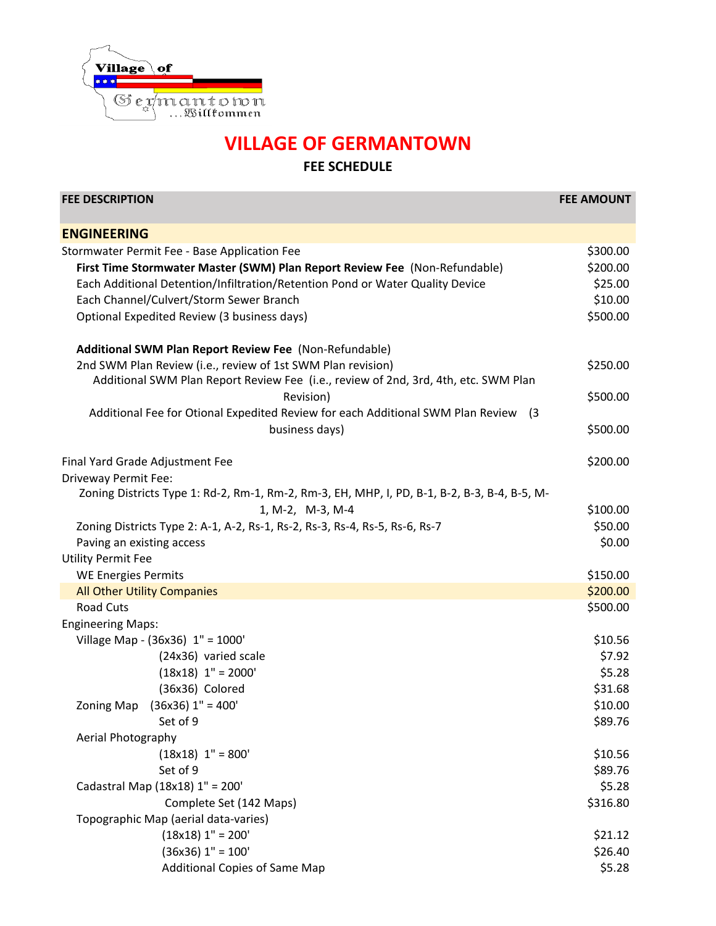

## **VILLAGE OF GERMANTOWN FEE SCHEDULE**

| <b>FEE DESCRIPTION</b>                                                                              | <b>FEE AMOUNT</b> |
|-----------------------------------------------------------------------------------------------------|-------------------|
| <b>ENGINEERING</b>                                                                                  |                   |
| Stormwater Permit Fee - Base Application Fee                                                        | \$300.00          |
| First Time Stormwater Master (SWM) Plan Report Review Fee (Non-Refundable)                          | \$200.00          |
| Each Additional Detention/Infiltration/Retention Pond or Water Quality Device                       | \$25.00           |
| Each Channel/Culvert/Storm Sewer Branch                                                             | \$10.00           |
| Optional Expedited Review (3 business days)                                                         | \$500.00          |
| Additional SWM Plan Report Review Fee (Non-Refundable)                                              |                   |
| 2nd SWM Plan Review (i.e., review of 1st SWM Plan revision)                                         | \$250.00          |
| Additional SWM Plan Report Review Fee (i.e., review of 2nd, 3rd, 4th, etc. SWM Plan                 |                   |
| Revision)                                                                                           | \$500.00          |
| Additional Fee for Otional Expedited Review for each Additional SWM Plan Review<br>$\left(3\right)$ |                   |
| business days)                                                                                      | \$500.00          |
| Final Yard Grade Adjustment Fee                                                                     | \$200.00          |
| Driveway Permit Fee:                                                                                |                   |
| Zoning Districts Type 1: Rd-2, Rm-1, Rm-2, Rm-3, EH, MHP, I, PD, B-1, B-2, B-3, B-4, B-5, M-        |                   |
| 1, M-2, M-3, M-4                                                                                    | \$100.00          |
| Zoning Districts Type 2: A-1, A-2, Rs-1, Rs-2, Rs-3, Rs-4, Rs-5, Rs-6, Rs-7                         | \$50.00           |
| Paving an existing access                                                                           | \$0.00            |
| <b>Utility Permit Fee</b>                                                                           |                   |
| <b>WE Energies Permits</b>                                                                          | \$150.00          |
| <b>All Other Utility Companies</b>                                                                  | \$200.00          |
| <b>Road Cuts</b>                                                                                    | \$500.00          |
| <b>Engineering Maps:</b>                                                                            |                   |
| Village Map - (36x36) 1" = 1000'                                                                    | \$10.56           |
| (24x36) varied scale                                                                                | \$7.92            |
| $(18x18)$ 1" = 2000'                                                                                | \$5.28            |
| (36x36) Colored                                                                                     | \$31.68           |
| $(36x36)$ 1" = 400'<br>Zoning Map                                                                   | \$10.00           |
| Set of 9                                                                                            | \$89.76           |
| Aerial Photography                                                                                  |                   |
| $(18x18)$ 1" = 800'                                                                                 | \$10.56           |
| Set of 9                                                                                            | \$89.76           |
| Cadastral Map (18x18) 1" = 200'                                                                     | \$5.28            |
| Complete Set (142 Maps)                                                                             | \$316.80          |
| Topographic Map (aerial data-varies)                                                                |                   |
| $(18x18)$ 1" = 200'                                                                                 | \$21.12           |
| $(36x36)$ 1" = 100'                                                                                 | \$26.40           |
| <b>Additional Copies of Same Map</b>                                                                | \$5.28            |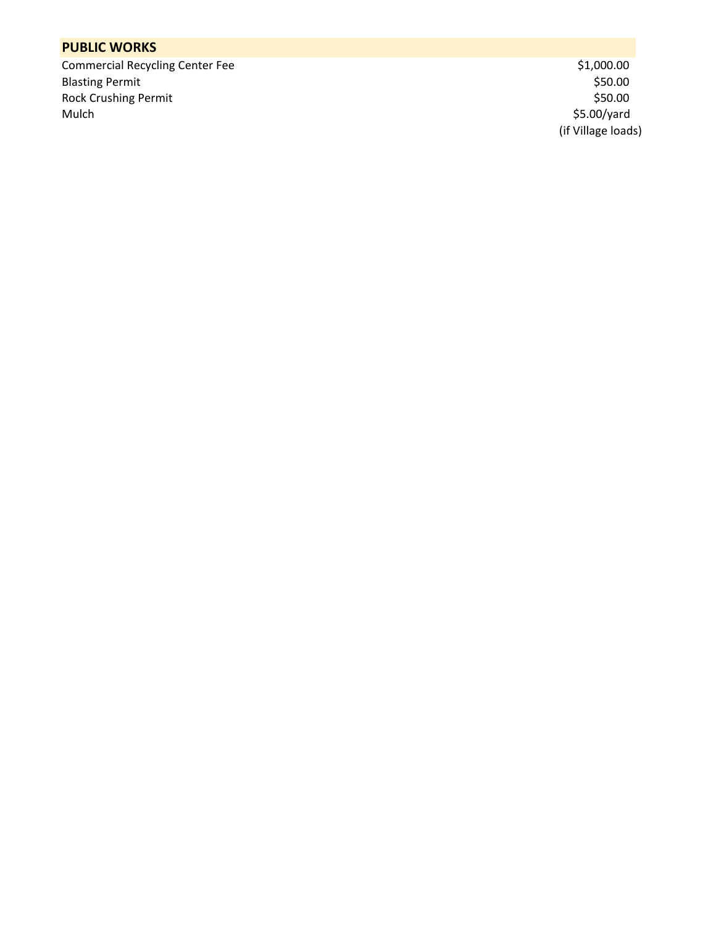#### **PUBLIC WORKS**

Commercial Recycling Center Fee  $$1,000.00$ <br>Blasting Permit  $$50.00$ Blasting Permit \$50.00 \$50.00 \$50.00 \$50.00 \$50.00 \$50.00 \$50.00 \$50.00 \$50.00 \$50.00 \$50.00 \$50.00 \$50.00 \$50 Rock Crushing Permit<br>Mulch

 $$5.00$ /yard (if Village loads)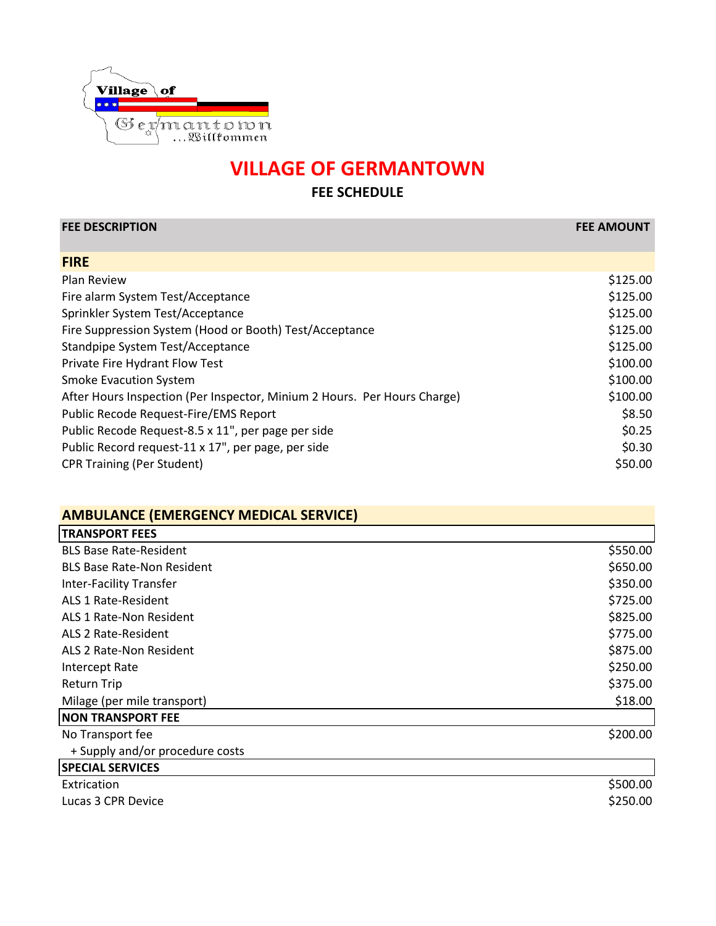

| <b>FEE DESCRIPTION</b>                                                   | <b>FEE AMOUNT</b> |
|--------------------------------------------------------------------------|-------------------|
| <b>FIRE</b>                                                              |                   |
| Plan Review                                                              | \$125.00          |
| Fire alarm System Test/Acceptance                                        | \$125.00          |
| Sprinkler System Test/Acceptance                                         | \$125.00          |
| Fire Suppression System (Hood or Booth) Test/Acceptance                  | \$125.00          |
| Standpipe System Test/Acceptance                                         | \$125.00          |
| Private Fire Hydrant Flow Test                                           | \$100.00          |
| <b>Smoke Evacution System</b>                                            | \$100.00          |
| After Hours Inspection (Per Inspector, Minium 2 Hours. Per Hours Charge) | \$100.00          |
| Public Recode Request-Fire/EMS Report                                    | \$8.50            |
| Public Recode Request-8.5 x 11", per page per side                       | \$0.25            |
| Public Record request-11 x 17", per page, per side                       | \$0.30            |
| <b>CPR Training (Per Student)</b>                                        | \$50.00           |

| <b>AMBULANCE (EMERGENCY MEDICAL SERVICE)</b> |          |
|----------------------------------------------|----------|
| <b>TRANSPORT FEES</b>                        |          |
| <b>BLS Base Rate-Resident</b>                | \$550.00 |
| <b>BLS Base Rate-Non Resident</b>            | \$650.00 |
| <b>Inter-Facility Transfer</b>               | \$350.00 |
| ALS 1 Rate-Resident                          | \$725.00 |
| ALS 1 Rate-Non Resident                      | \$825.00 |
| ALS 2 Rate-Resident                          | \$775.00 |
| ALS 2 Rate-Non Resident                      | \$875.00 |
| Intercept Rate                               | \$250.00 |
| <b>Return Trip</b>                           | \$375.00 |
| Milage (per mile transport)                  | \$18.00  |
| <b>NON TRANSPORT FEE</b>                     |          |
| No Transport fee                             | \$200.00 |
| + Supply and/or procedure costs              |          |
| <b>SPECIAL SERVICES</b>                      |          |
| Extrication                                  | \$500.00 |
| Lucas 3 CPR Device                           | \$250.00 |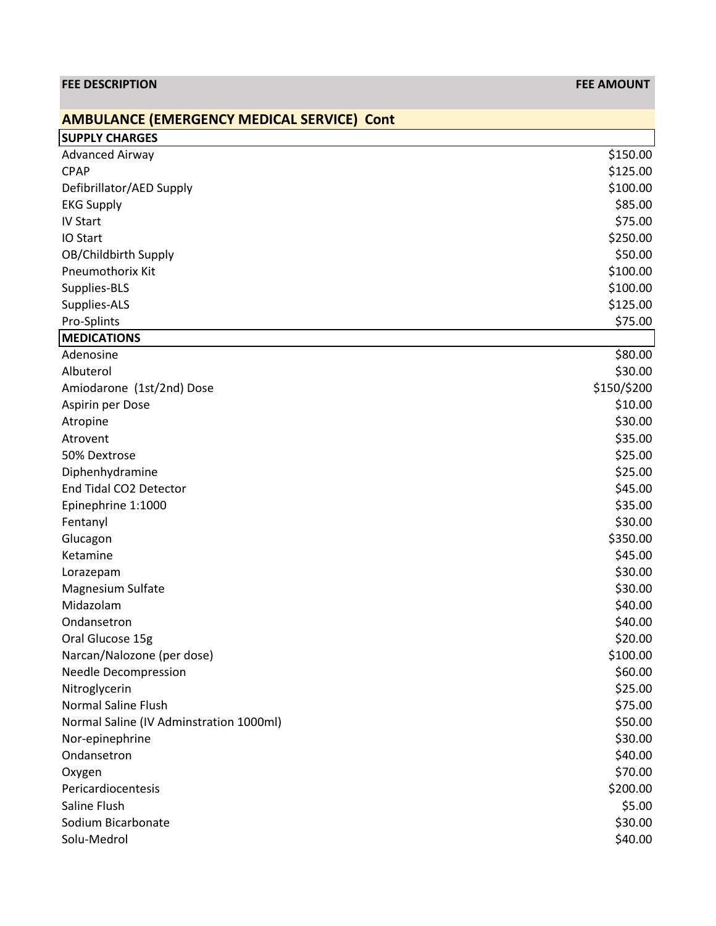| <b>FEE DESCRIPTION</b>                            | <b>FEE AMOUNT</b> |
|---------------------------------------------------|-------------------|
| <b>AMBULANCE (EMERGENCY MEDICAL SERVICE) Cont</b> |                   |
| <b>SUPPLY CHARGES</b>                             |                   |
| <b>Advanced Airway</b>                            | \$150.00          |
| <b>CPAP</b>                                       | \$125.00          |
| Defibrillator/AED Supply                          | \$100.00          |
| <b>EKG Supply</b>                                 | \$85.00           |
| <b>IV Start</b>                                   | \$75.00           |
| IO Start                                          | \$250.00          |
| OB/Childbirth Supply                              | \$50.00           |
| Pneumothorix Kit                                  | \$100.00          |
| Supplies-BLS                                      | \$100.00          |
| Supplies-ALS                                      | \$125.00          |
| Pro-Splints                                       | \$75.00           |
| <b>MEDICATIONS</b>                                |                   |
| Adenosine                                         | \$80.00           |
| Albuterol                                         | \$30.00           |
| Amiodarone (1st/2nd) Dose                         | \$150/\$200       |
| Aspirin per Dose                                  | \$10.00           |
| Atropine                                          | \$30.00           |
| Atrovent                                          | \$35.00           |
| 50% Dextrose                                      | \$25.00           |
| Diphenhydramine                                   | \$25.00           |
| End Tidal CO2 Detector                            | \$45.00           |
| Epinephrine 1:1000                                | \$35.00           |
| Fentanyl                                          | \$30.00           |
| Glucagon                                          | \$350.00          |
| Ketamine                                          | \$45.00           |
| Lorazepam                                         | \$30.00           |
| Magnesium Sulfate                                 | \$30.00           |
| Midazolam                                         | \$40.00           |
| Ondansetron                                       | \$40.00           |
| Oral Glucose 15g                                  | \$20.00           |
| Narcan/Nalozone (per dose)                        | \$100.00          |
| <b>Needle Decompression</b>                       | \$60.00           |
| Nitroglycerin                                     | \$25.00           |
| <b>Normal Saline Flush</b>                        | \$75.00           |
| Normal Saline (IV Adminstration 1000ml)           | \$50.00           |
| Nor-epinephrine                                   | \$30.00           |
| Ondansetron                                       | \$40.00           |
| Oxygen                                            | \$70.00           |
| Pericardiocentesis                                | \$200.00          |
| Saline Flush                                      | \$5.00            |
| Sodium Bicarbonate                                | \$30.00           |
| Solu-Medrol                                       | \$40.00           |
|                                                   |                   |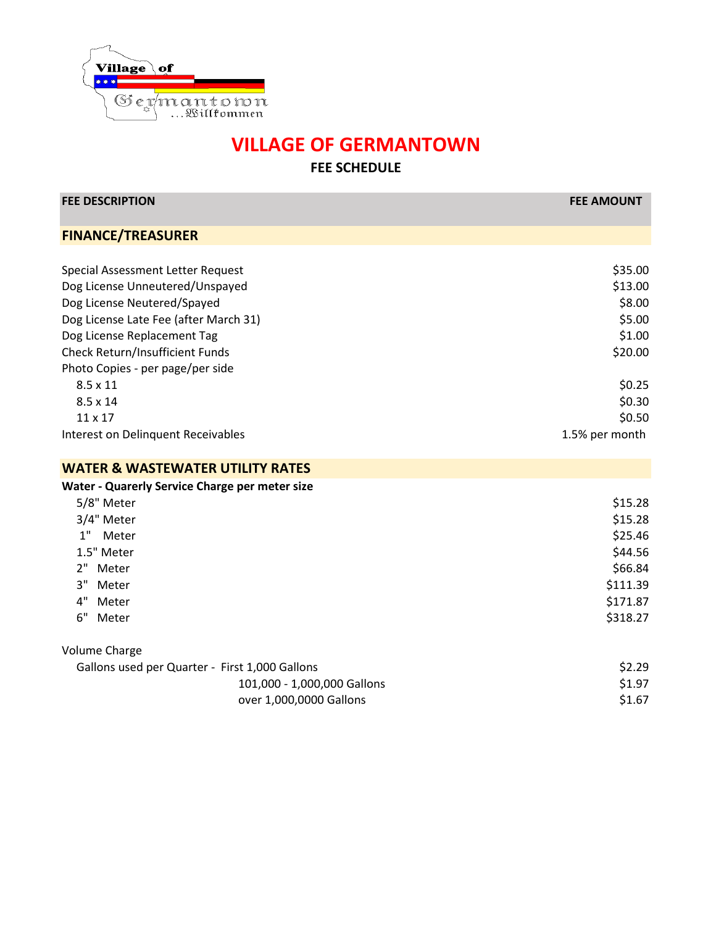

| <b>FEE DESCRIPTION</b>                         | <b>FEE AMOUNT</b> |
|------------------------------------------------|-------------------|
| <b>FINANCE/TREASURER</b>                       |                   |
|                                                |                   |
| Special Assessment Letter Request              | \$35.00           |
| Dog License Unneutered/Unspayed                | \$13.00           |
| Dog License Neutered/Spayed                    | \$8.00            |
| Dog License Late Fee (after March 31)          | \$5.00            |
| Dog License Replacement Tag                    | \$1.00            |
| Check Return/Insufficient Funds                | \$20.00           |
| Photo Copies - per page/per side               |                   |
| $8.5 \times 11$                                | \$0.25            |
| $8.5 \times 14$                                | \$0.30            |
| 11 x 17                                        | \$0.50            |
| Interest on Delinquent Receivables             | 1.5% per month    |
| <b>WATER &amp; WASTEWATER UTILITY RATES</b>    |                   |
| Water - Quarerly Service Charge per meter size |                   |
| 5/8" Meter                                     | \$15.28           |
| 3/4" Meter                                     | \$15.28           |
| 1"<br>Meter                                    | \$25.46           |
| 1.5" Meter                                     | \$44.56           |
| 2" Meter                                       | \$66.84           |
| 3"<br>Meter                                    | \$111.39          |
| 4"<br>Meter                                    | \$171.87          |
| 6"<br>Meter                                    | \$318.27          |
| <b>Volume Charge</b>                           |                   |
| Gallons used per Quarter - First 1,000 Gallons | \$2.29            |
| 101,000 - 1,000,000 Gallons                    | \$1.97            |
| over 1,000,0000 Gallons                        | \$1.67            |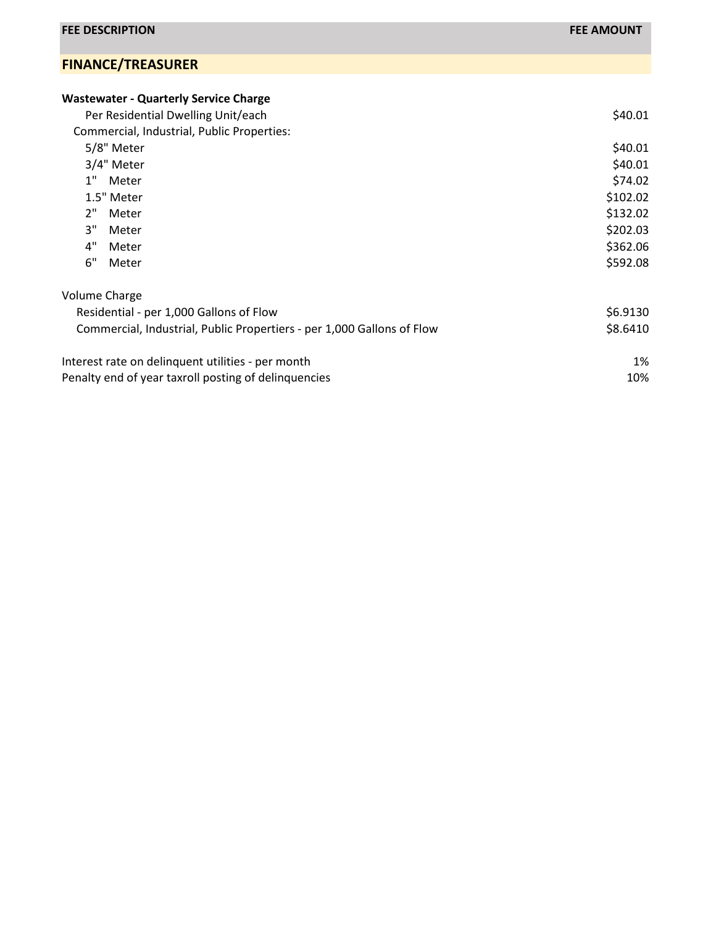#### **FINANCE/TREASURER**

| Per Residential Dwelling Unit/each<br>Commercial, Industrial, Public Properties:<br>5/8" Meter<br>3/4" Meter<br>1"<br>Meter<br>1.5" Meter<br>2"<br>Meter<br>3"<br>Meter<br>4"<br>Meter<br>6"<br>Meter<br>Volume Charge<br>Residential - per 1,000 Gallons of Flow<br>Commercial, Industrial, Public Propertiers - per 1,000 Gallons of Flow<br>Interest rate on delinquent utilities - per month<br>Penalty end of year taxroll posting of delinquencies | <b>Wastewater - Quarterly Service Charge</b> |          |
|----------------------------------------------------------------------------------------------------------------------------------------------------------------------------------------------------------------------------------------------------------------------------------------------------------------------------------------------------------------------------------------------------------------------------------------------------------|----------------------------------------------|----------|
|                                                                                                                                                                                                                                                                                                                                                                                                                                                          |                                              | \$40.01  |
|                                                                                                                                                                                                                                                                                                                                                                                                                                                          |                                              |          |
|                                                                                                                                                                                                                                                                                                                                                                                                                                                          |                                              | \$40.01  |
|                                                                                                                                                                                                                                                                                                                                                                                                                                                          |                                              | \$40.01  |
|                                                                                                                                                                                                                                                                                                                                                                                                                                                          |                                              | \$74.02  |
|                                                                                                                                                                                                                                                                                                                                                                                                                                                          |                                              | \$102.02 |
|                                                                                                                                                                                                                                                                                                                                                                                                                                                          |                                              | \$132.02 |
|                                                                                                                                                                                                                                                                                                                                                                                                                                                          |                                              | \$202.03 |
|                                                                                                                                                                                                                                                                                                                                                                                                                                                          |                                              | \$362.06 |
|                                                                                                                                                                                                                                                                                                                                                                                                                                                          |                                              | \$592.08 |
|                                                                                                                                                                                                                                                                                                                                                                                                                                                          |                                              |          |
|                                                                                                                                                                                                                                                                                                                                                                                                                                                          |                                              | \$6.9130 |
|                                                                                                                                                                                                                                                                                                                                                                                                                                                          |                                              | \$8.6410 |
|                                                                                                                                                                                                                                                                                                                                                                                                                                                          |                                              | 1%       |
|                                                                                                                                                                                                                                                                                                                                                                                                                                                          |                                              | 10%      |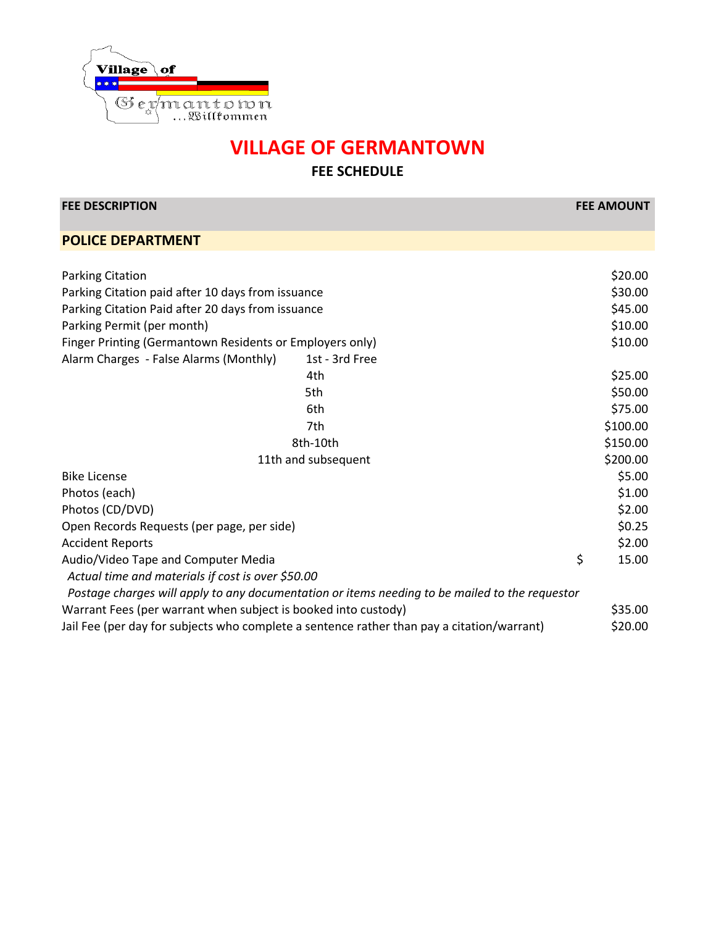

| <b>FEE DESCRIPTION</b>                                                                         | <b>FEE AMOUNT</b> |         |
|------------------------------------------------------------------------------------------------|-------------------|---------|
| <b>POLICE DEPARTMENT</b>                                                                       |                   |         |
|                                                                                                |                   |         |
| <b>Parking Citation</b>                                                                        |                   | \$20.00 |
| Parking Citation paid after 10 days from issuance                                              |                   | \$30.00 |
| Parking Citation Paid after 20 days from issuance                                              |                   | \$45.00 |
| Parking Permit (per month)                                                                     |                   | \$10.00 |
| Finger Printing (Germantown Residents or Employers only)                                       |                   | \$10.00 |
| Alarm Charges - False Alarms (Monthly)<br>1st - 3rd Free                                       |                   |         |
| 4th                                                                                            |                   | \$25.00 |
| 5th                                                                                            |                   | \$50.00 |
| 6th                                                                                            |                   | \$75.00 |
| 7th                                                                                            | \$100.00          |         |
| 8th-10th                                                                                       | \$150.00          |         |
| 11th and subsequent                                                                            | \$200.00          |         |
| <b>Bike License</b>                                                                            |                   | \$5.00  |
| Photos (each)                                                                                  |                   | \$1.00  |
| Photos (CD/DVD)                                                                                |                   | \$2.00  |
| Open Records Requests (per page, per side)                                                     |                   | \$0.25  |
| <b>Accident Reports</b>                                                                        |                   | \$2.00  |
| Audio/Video Tape and Computer Media                                                            | \$                | 15.00   |
| Actual time and materials if cost is over \$50.00                                              |                   |         |
| Postage charges will apply to any documentation or items needing to be mailed to the requestor |                   |         |
| Warrant Fees (per warrant when subject is booked into custody)                                 |                   | \$35.00 |
| Jail Fee (per day for subjects who complete a sentence rather than pay a citation/warrant)     |                   | \$20.00 |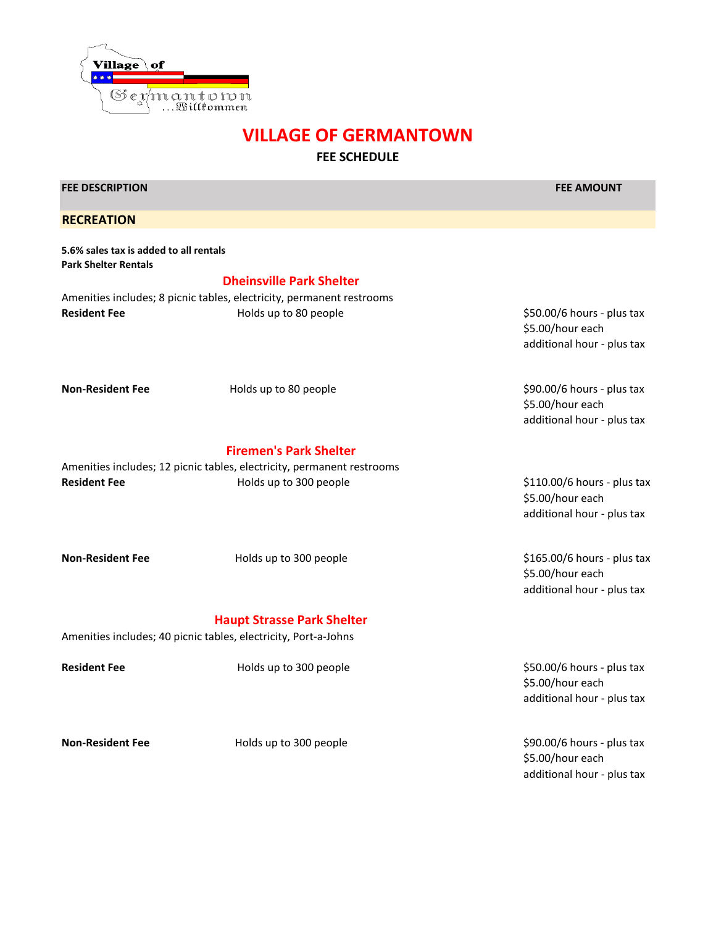

## **VILLAGE OF GERMANTOWN FEE SCHEDULE**

| <b>FEE DESCRIPTION</b>                                                |                                                                                                | <b>FEE AMOUNT</b>                                                             |
|-----------------------------------------------------------------------|------------------------------------------------------------------------------------------------|-------------------------------------------------------------------------------|
| <b>RECREATION</b>                                                     |                                                                                                |                                                                               |
| 5.6% sales tax is added to all rentals<br><b>Park Shelter Rentals</b> |                                                                                                |                                                                               |
|                                                                       | <b>Dheinsville Park Shelter</b>                                                                |                                                                               |
| <b>Resident Fee</b>                                                   | Amenities includes; 8 picnic tables, electricity, permanent restrooms<br>Holds up to 80 people | \$50.00/6 hours - plus tax<br>\$5.00/hour each<br>additional hour - plus tax  |
| <b>Non-Resident Fee</b>                                               | Holds up to 80 people                                                                          | \$90.00/6 hours - plus tax<br>\$5.00/hour each<br>additional hour - plus tax  |
|                                                                       | <b>Firemen's Park Shelter</b>                                                                  |                                                                               |
|                                                                       | Amenities includes; 12 picnic tables, electricity, permanent restrooms                         |                                                                               |
| <b>Resident Fee</b>                                                   | Holds up to 300 people                                                                         | \$110.00/6 hours - plus tax<br>\$5.00/hour each<br>additional hour - plus tax |
| <b>Non-Resident Fee</b>                                               | Holds up to 300 people                                                                         | \$165.00/6 hours - plus tax<br>\$5.00/hour each<br>additional hour - plus tax |
|                                                                       | <b>Haupt Strasse Park Shelter</b>                                                              |                                                                               |
|                                                                       | Amenities includes; 40 picnic tables, electricity, Port-a-Johns                                |                                                                               |
| <b>Resident Fee</b>                                                   | Holds up to 300 people                                                                         | \$50.00/6 hours - plus tax<br>\$5.00/hour each<br>additional hour - plus tax  |
| <b>Non-Resident Fee</b>                                               | Holds up to 300 people                                                                         | \$90.00/6 hours - plus tax<br>\$5.00/hour each                                |

additional hour - plus tax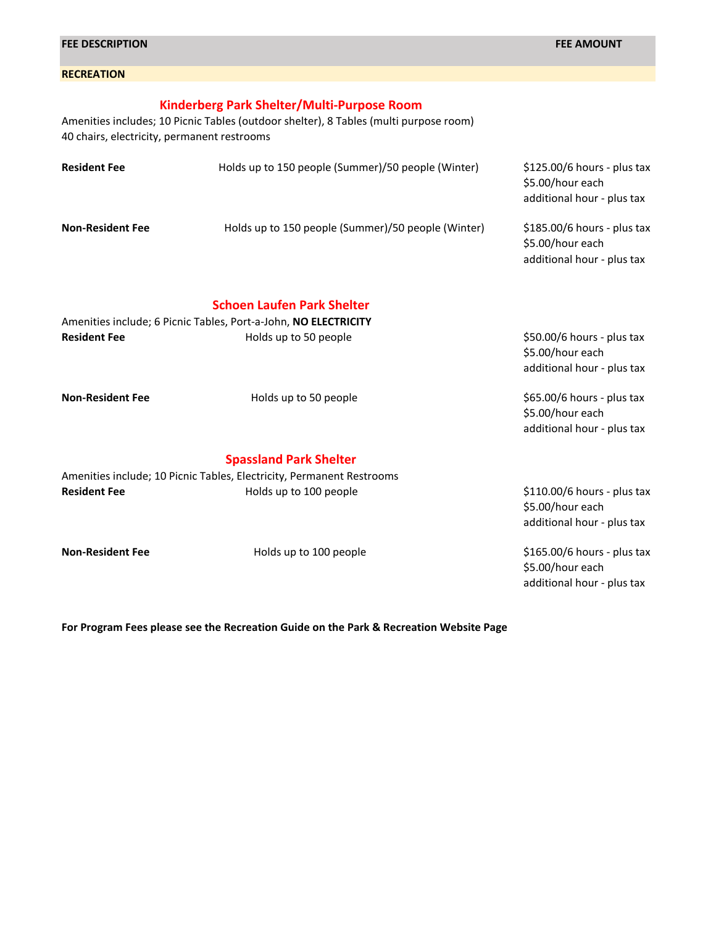| 40 chairs, electricity, permanent restrooms | Amenities includes; 10 Picnic Tables (outdoor shelter), 8 Tables (multi purpose room)                |                                                                                |
|---------------------------------------------|------------------------------------------------------------------------------------------------------|--------------------------------------------------------------------------------|
| <b>Resident Fee</b>                         | Holds up to 150 people (Summer)/50 people (Winter)                                                   | $$125.00/6$ hours - plus tax<br>\$5.00/hour each<br>additional hour - plus tax |
| <b>Non-Resident Fee</b>                     | Holds up to 150 people (Summer)/50 people (Winter)                                                   | \$185.00/6 hours - plus tax<br>\$5.00/hour each<br>additional hour - plus tax  |
|                                             | <b>Schoen Laufen Park Shelter</b><br>Amenities include; 6 Picnic Tables, Port-a-John, NO ELECTRICITY |                                                                                |
| <b>Resident Fee</b>                         | Holds up to 50 people                                                                                | \$50.00/6 hours - plus tax<br>\$5.00/hour each<br>additional hour - plus tax   |
| <b>Non-Resident Fee</b>                     | Holds up to 50 people                                                                                | \$65.00/6 hours - plus tax<br>\$5.00/hour each<br>additional hour - plus tax   |
|                                             | <b>Spassland Park Shelter</b>                                                                        |                                                                                |
|                                             | Amenities include; 10 Picnic Tables, Electricity, Permanent Restrooms                                |                                                                                |
| <b>Resident Fee</b>                         | Holds up to 100 people                                                                               | $$110.00/6$ hours - plus tax<br>\$5.00/hour each<br>additional hour - plus tax |
| <b>Non-Resident Fee</b>                     | Holds up to 100 people                                                                               | \$165.00/6 hours - plus tax<br>\$5.00/hour each<br>additional hour - plus tax  |

**Kinderberg Park Shelter/Multi-Purpose Room**

**FEE DESCRIPTION FEE AMOUNT**

**RECREATION**

**For Program Fees please see the Recreation Guide on the Park & Recreation Website Page**